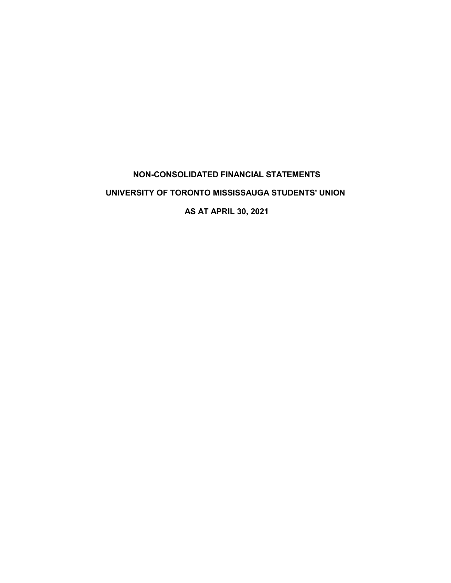# **NON-CONSOLIDATED FINANCIAL STATEMENTS**

## **UNIVERSITY OF TORONTO MISSISSAUGA STUDENTS' UNION**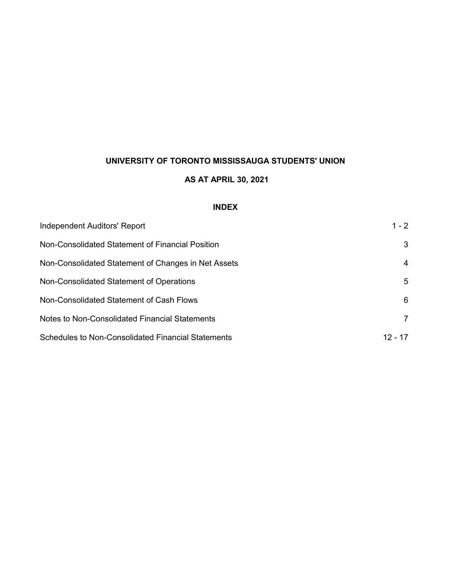### **AS AT APRIL 30, 2021**

#### **INDEX**

| Independent Auditors' Report                              | $1 - 2$   |
|-----------------------------------------------------------|-----------|
| Non-Consolidated Statement of Financial Position          | 3         |
| Non-Consolidated Statement of Changes in Net Assets       | 4         |
| Non-Consolidated Statement of Operations                  | 5         |
| Non-Consolidated Statement of Cash Flows                  | 6         |
| Notes to Non-Consolidated Financial Statements            | 7         |
| <b>Schedules to Non-Consolidated Financial Statements</b> | $12 - 17$ |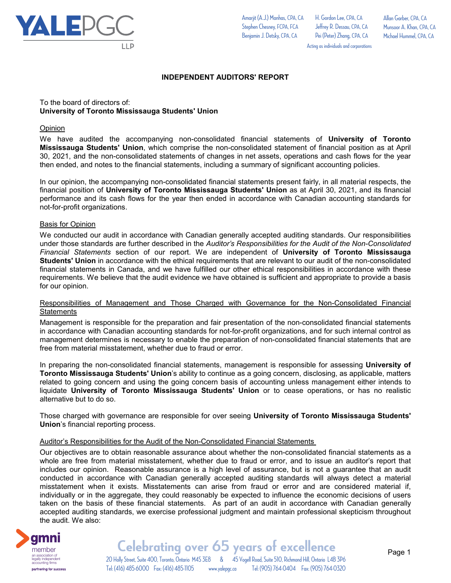

To the board of directors of:

not-for-profit organizations.

Basis for Opinion

**Opinion** 

**University of Toronto Mississauga Students' Union**

H. Gordon Lee, CPA, CA Jeffrey R. Dessau, CPA, CA Pei (Peter) Zhang, CPA, CA Allan Garber, CPA, CA Munsoor A. Khan, CPA, CA Michael Hummel, CPA, CA

Acting as individuals and corporations

then ended, and notes to the financial statements, including a summary of significant accounting policies.

We conducted our audit in accordance with Canadian generally accepted auditing standards. Our responsibilities under those standards are further described in the *Auditor's Responsibilities for the Audit of the Non-Consolidated Financial Statements* section of our report. We are independent of **University of Toronto Mississauga Students' Union** in accordance with the ethical requirements that are relevant to our audit of the non-consolidated financial statements in Canada, and we have fulfilled our other ethical responsibilities in accordance with these requirements. We believe that the audit evidence we have obtained is sufficient and appropriate to provide a basis for our opinion.

**INDEPENDENT AUDITORS' REPORT**

We have audited the accompanying non-consolidated financial statements of **University of Toronto Mississauga Students' Union**, which comprise the non-consolidated statement of financial position as at April 30, 2021, and the non-consolidated statements of changes in net assets, operations and cash flows for the year

In our opinion, the accompanying non-consolidated financial statements present fairly, in all material respects, the financial position of **University of Toronto Mississauga Students' Union** as at April 30, 2021, and its financial performance and its cash flows for the year then ended in accordance with Canadian accounting standards for

#### Responsibilities of Management and Those Charged with Governance for the Non-Consolidated Financial **Statements**

Management is responsible for the preparation and fair presentation of the non-consolidated financial statements in accordance with Canadian accounting standards for not-for-profit organizations, and for such internal control as management determines is necessary to enable the preparation of non-consolidated financial statements that are free from material misstatement, whether due to fraud or error.

In preparing the non-consolidated financial statements, management is responsible for assessing **University of Toronto Mississauga Students' Union**'s ability to continue as a going concern, disclosing, as applicable, matters related to going concern and using the going concern basis of accounting unless management either intends to liquidate **University of Toronto Mississauga Students' Union** or to cease operations, or has no realistic alternative but to do so.

Those charged with governance are responsible for over seeing **University of Toronto Mississauga Students' Union**'s financial reporting process.

#### Auditor's Responsibilities for the Audit of the Non-Consolidated Financial Statements

Our objectives are to obtain reasonable assurance about whether the non-consolidated financial statements as a whole are free from material misstatement, whether due to fraud or error, and to issue an auditor's report that includes our opinion. Reasonable assurance is a high level of assurance, but is not a guarantee that an audit conducted in accordance with Canadian generally accepted auditing standards will always detect a material misstatement when it exists. Misstatements can arise from fraud or error and are considered material if, individually or in the aggregate, they could reasonably be expected to influence the economic decisions of users taken on the basis of these financial statements. As part of an audit in accordance with Canadian generally accepted auditing standards, we exercise professional judgment and maintain professional skepticism throughout the audit. We also:

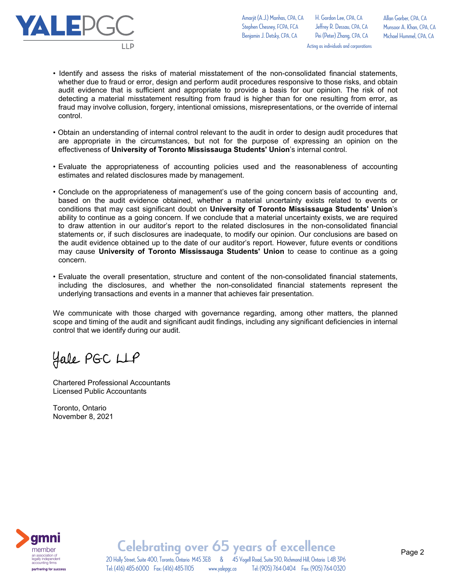

Amarjit (A.J.) Manhas, CPA, CA Stephen Chesney, FCPA, FCA Benjamin J. Detsky, CPA, CA

H. Gordon Lee, CPA, CA Jeffrey R. Dessau, CPA, CA Pei (Peter) Zhang, CPA, CA Acting as individuals and corporations

Allan Garber, CPA, CA Munsoor A. Khan, CPA, CA Michael Hummel, CPA, CA

- Identify and assess the risks of material misstatement of the non-consolidated financial statements, whether due to fraud or error, design and perform audit procedures responsive to those risks, and obtain audit evidence that is sufficient and appropriate to provide a basis for our opinion. The risk of not detecting a material misstatement resulting from fraud is higher than for one resulting from error, as fraud may involve collusion, forgery, intentional omissions, misrepresentations, or the override of internal control.
- Obtain an understanding of internal control relevant to the audit in order to design audit procedures that are appropriate in the circumstances, but not for the purpose of expressing an opinion on the effectiveness of **University of Toronto Mississauga Students' Union**'s internal control.
- Evaluate the appropriateness of accounting policies used and the reasonableness of accounting estimates and related disclosures made by management.
- Conclude on the appropriateness of management's use of the going concern basis of accounting and, based on the audit evidence obtained, whether a material uncertainty exists related to events or conditions that may cast significant doubt on **University of Toronto Mississauga Students' Union**'s ability to continue as a going concern. If we conclude that a material uncertainty exists, we are required to draw attention in our auditor's report to the related disclosures in the non-consolidated financial statements or, if such disclosures are inadequate, to modify our opinion. Our conclusions are based on the audit evidence obtained up to the date of our auditor's report. However, future events or conditions may cause **University of Toronto Mississauga Students' Union** to cease to continue as a going concern.
- Evaluate the overall presentation, structure and content of the non-consolidated financial statements, including the disclosures, and whether the non-consolidated financial statements represent the underlying transactions and events in a manner that achieves fair presentation.

We communicate with those charged with governance regarding, among other matters, the planned scope and timing of the audit and significant audit findings, including any significant deficiencies in internal control that we identify during our audit.

Hale PGC LLP

Chartered Professional Accountants Licensed Public Accountants

Toronto, Ontario November 8, 2021



20 Holly Street, Suite 400, Toronto, Ontario M4S 3E8 & 45 Vogell Road, Suite 510, Richmond Hill, Ontario L4B 3P6 **Celebrating over 65 years of excellence** Tel: (416) 485-6000 Fax: (416) 485-1105 www.yalepgc.ca Tel: (905) 764-0404 Fax: (905) 764-0320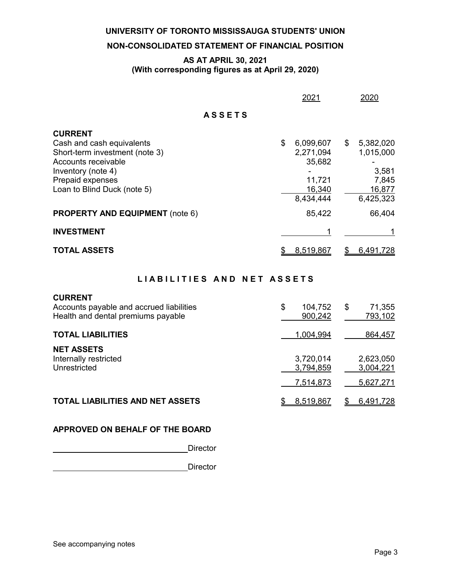#### **NON-CONSOLIDATED STATEMENT OF FINANCIAL POSITION**

#### **AS AT APRIL 30, 2021 (With corresponding figures as at April 29, 2020)**

|                                                                                                                                                                               | 2021                                                                    |    | 2020                                                            |
|-------------------------------------------------------------------------------------------------------------------------------------------------------------------------------|-------------------------------------------------------------------------|----|-----------------------------------------------------------------|
| <b>ASSETS</b>                                                                                                                                                                 |                                                                         |    |                                                                 |
| <b>CURRENT</b><br>Cash and cash equivalents<br>Short-term investment (note 3)<br>Accounts receivable<br>Inventory (note 4)<br>Prepaid expenses<br>Loan to Blind Duck (note 5) | \$<br>6,099,607<br>2,271,094<br>35,682<br>11,721<br>16,340<br>8,434,444 | \$ | 5,382,020<br>1,015,000<br>3,581<br>7,845<br>16,877<br>6,425,323 |
| <b>PROPERTY AND EQUIPMENT</b> (note 6)                                                                                                                                        | 85,422                                                                  |    | 66,404                                                          |
| <b>INVESTMENT</b>                                                                                                                                                             |                                                                         |    |                                                                 |
| <b>TOTAL ASSETS</b>                                                                                                                                                           | 8,519,867                                                               | S  | 6,491,728                                                       |

#### LIABILITIES AND NET ASSETS

#### **CURRENT**

| Accounts payable and accrued liabilities<br>Health and dental premiums payable | \$<br>104,752<br>900,242 | \$<br>71,355<br>793,102 |
|--------------------------------------------------------------------------------|--------------------------|-------------------------|
| <b>TOTAL LIABILITIES</b>                                                       | 1,004,994                | 864,457                 |
| <b>NET ASSETS</b><br>Internally restricted<br>Unrestricted                     | 3,720,014<br>3,794,859   | 2,623,050<br>3,004,221  |
|                                                                                | 7,514,873                | 5,627,271               |
| <b>TOTAL LIABILITIES AND NET ASSETS</b>                                        | 8,519,867                | 6,491,728               |

#### **APPROVED ON BEHALF OF THE BOARD**

Director

**Director**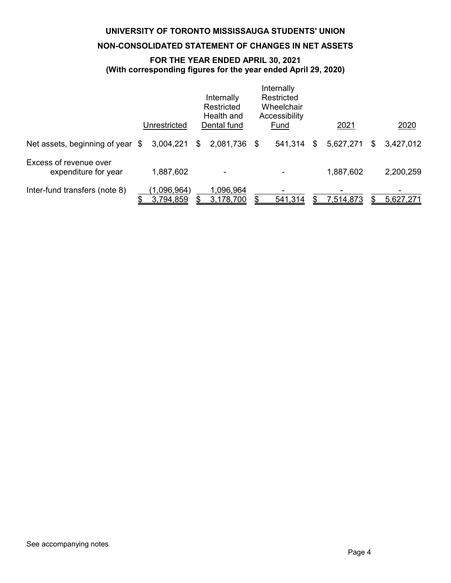#### **NON-CONSOLIDATED STATEMENT OF CHANGES IN NET ASSETS**

#### **FOR THE YEAR ENDED APRIL 30, 2021 (With corresponding figures for the year ended April 29, 2020)**

|                                                | Unrestricted             | Internally<br>Restricted<br>Health and<br>Dental fund | Internally<br>Restricted<br>Wheelchair<br>Accessibility<br>Fund | 2021            |   | 2020      |
|------------------------------------------------|--------------------------|-------------------------------------------------------|-----------------------------------------------------------------|-----------------|---|-----------|
| Net assets, beginning of year \$               | 3,004,221                | \$<br>2,081,736 \$                                    | 541,314                                                         | \$<br>5,627,271 | S | 3,427,012 |
| Excess of revenue over<br>expenditure for year | 1,887,602                |                                                       |                                                                 | 1,887,602       |   | 2,200,259 |
| Inter-fund transfers (note 8)                  | (1,096,964)<br>3,794,859 | 1,096,964<br>3,178,700                                | 541,314                                                         | 7,514,873       |   | 5,627,271 |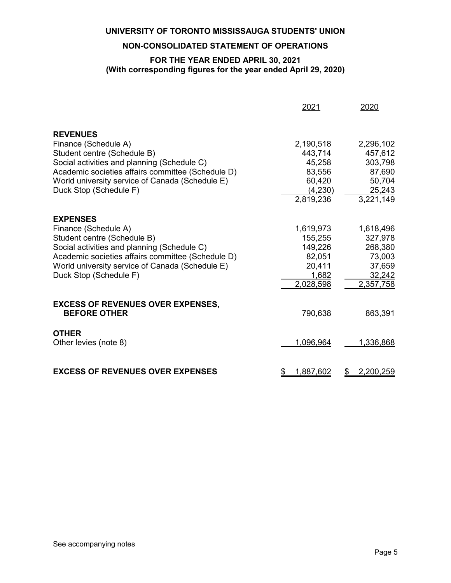#### **NON-CONSOLIDATED STATEMENT OF OPERATIONS**

#### **FOR THE YEAR ENDED APRIL 30, 2021 (With corresponding figures for the year ended April 29, 2020)**

|                                                     | <u> 2021</u>         | 2020                 |
|-----------------------------------------------------|----------------------|----------------------|
| <b>REVENUES</b>                                     |                      |                      |
| Finance (Schedule A)                                | 2,190,518            | 2,296,102            |
| Student centre (Schedule B)                         | 443,714              | 457,612              |
| Social activities and planning (Schedule C)         | 45,258               | 303,798              |
| Academic societies affairs committee (Schedule D)   | 83,556               | 87,690               |
| World university service of Canada (Schedule E)     | 60,420               | 50,704               |
| Duck Stop (Schedule F)                              | (4,230)              | 25,243               |
|                                                     | 2,819,236            | 3,221,149            |
|                                                     |                      |                      |
| <b>EXPENSES</b>                                     |                      |                      |
| Finance (Schedule A)<br>Student centre (Schedule B) | 1,619,973<br>155,255 | 1,618,496<br>327,978 |
| Social activities and planning (Schedule C)         | 149,226              | 268,380              |
| Academic societies affairs committee (Schedule D)   | 82,051               | 73,003               |
| World university service of Canada (Schedule E)     | 20,411               | 37,659               |
| Duck Stop (Schedule F)                              | 1,682                | 32,242               |
|                                                     | 2,028,598            | 2,357,758            |
|                                                     |                      |                      |
| <b>EXCESS OF REVENUES OVER EXPENSES,</b>            |                      |                      |
| <b>BEFORE OTHER</b>                                 | 790,638              | 863,391              |
| <b>OTHER</b>                                        |                      |                      |
| Other levies (note 8)                               | 1,096,964            | 1,336,868            |
|                                                     |                      |                      |
|                                                     |                      |                      |
| <b>EXCESS OF REVENUES OVER EXPENSES</b>             | 1,887,602<br>\$      | 2,200,259<br>\$      |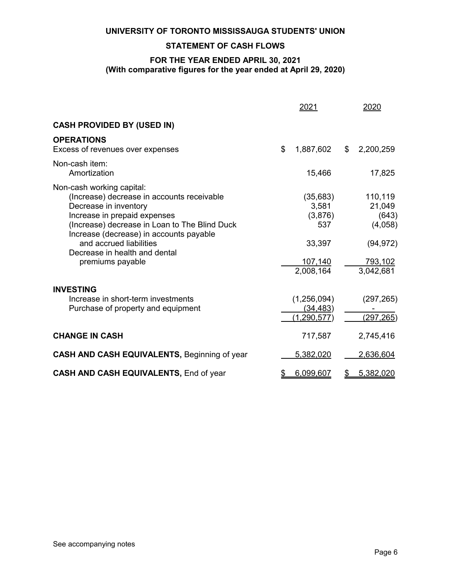#### **STATEMENT OF CASH FLOWS**

#### **FOR THE YEAR ENDED APRIL 30, 2021 (With comparative figures for the year ended at April 29, 2020)**

|                                                                                                                                                                                                                                                                                                              |    | 2021                                                                   | 2020                                                                       |
|--------------------------------------------------------------------------------------------------------------------------------------------------------------------------------------------------------------------------------------------------------------------------------------------------------------|----|------------------------------------------------------------------------|----------------------------------------------------------------------------|
| <b>CASH PROVIDED BY (USED IN)</b>                                                                                                                                                                                                                                                                            |    |                                                                        |                                                                            |
| <b>OPERATIONS</b><br>Excess of revenues over expenses                                                                                                                                                                                                                                                        | \$ | 1,887,602                                                              | \$<br>2,200,259                                                            |
| Non-cash item:<br>Amortization                                                                                                                                                                                                                                                                               |    | 15,466                                                                 | 17,825                                                                     |
| Non-cash working capital:<br>(Increase) decrease in accounts receivable<br>Decrease in inventory<br>Increase in prepaid expenses<br>(Increase) decrease in Loan to The Blind Duck<br>Increase (decrease) in accounts payable<br>and accrued liabilities<br>Decrease in health and dental<br>premiums payable |    | (35, 683)<br>3,581<br>(3,876)<br>537<br>33,397<br>107,140<br>2,008,164 | 110,119<br>21,049<br>(643)<br>(4,058)<br>(94, 972)<br>793,102<br>3,042,681 |
| <b>INVESTING</b><br>Increase in short-term investments<br>Purchase of property and equipment                                                                                                                                                                                                                 |    | (1,256,094)<br><u>(34,483)</u><br>(1,290,577)                          | (297, 265)<br>(297, 265)                                                   |
| <b>CHANGE IN CASH</b>                                                                                                                                                                                                                                                                                        |    | 717,587                                                                | 2,745,416                                                                  |
| <b>CASH AND CASH EQUIVALENTS, Beginning of year</b>                                                                                                                                                                                                                                                          |    | 5,382,020                                                              | 2,636,604                                                                  |
| <b>CASH AND CASH EQUIVALENTS, End of year</b>                                                                                                                                                                                                                                                                | P  | 6,099,607                                                              | 5,382,020                                                                  |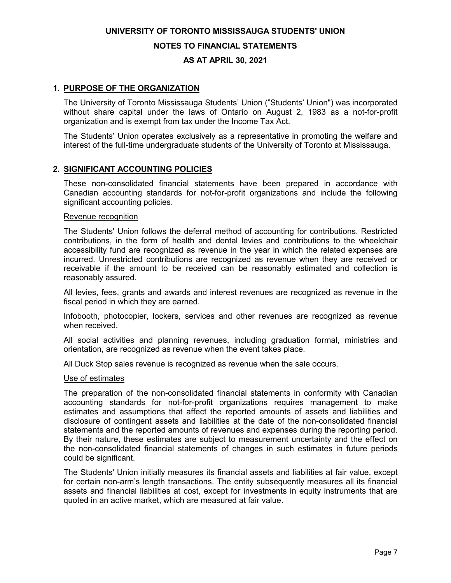#### **NOTES TO FINANCIAL STATEMENTS**

#### **AS AT APRIL 30, 2021**

#### **1. PURPOSE OF THE ORGANIZATION**

The University of Toronto Mississauga Students' Union ("Students' Union") was incorporated without share capital under the laws of Ontario on August 2, 1983 as a not-for-profit organization and is exempt from tax under the Income Tax Act.

The Students' Union operates exclusively as a representative in promoting the welfare and interest of the full-time undergraduate students of the University of Toronto at Mississauga.

#### **2. SIGNIFICANT ACCOUNTING POLICIES**

These non-consolidated financial statements have been prepared in accordance with Canadian accounting standards for not-for-profit organizations and include the following significant accounting policies.

#### Revenue recognition

The Students' Union follows the deferral method of accounting for contributions. Restricted contributions, in the form of health and dental levies and contributions to the wheelchair accessibility fund are recognized as revenue in the year in which the related expenses are incurred. Unrestricted contributions are recognized as revenue when they are received or receivable if the amount to be received can be reasonably estimated and collection is reasonably assured.

All levies, fees, grants and awards and interest revenues are recognized as revenue in the fiscal period in which they are earned.

Infobooth, photocopier, lockers, services and other revenues are recognized as revenue when received.

All social activities and planning revenues, including graduation formal, ministries and orientation, are recognized as revenue when the event takes place.

All Duck Stop sales revenue is recognized as revenue when the sale occurs.

#### Use of estimates

The preparation of the non-consolidated financial statements in conformity with Canadian accounting standards for not-for-profit organizations requires management to make estimates and assumptions that affect the reported amounts of assets and liabilities and disclosure of contingent assets and liabilities at the date of the non-consolidated financial statements and the reported amounts of revenues and expenses during the reporting period. By their nature, these estimates are subject to measurement uncertainty and the effect on the non-consolidated financial statements of changes in such estimates in future periods could be significant.

The Students' Union initially measures its financial assets and liabilities at fair value, except for certain non-arm's length transactions. The entity subsequently measures all its financial assets and financial liabilities at cost, except for investments in equity instruments that are quoted in an active market, which are measured at fair value.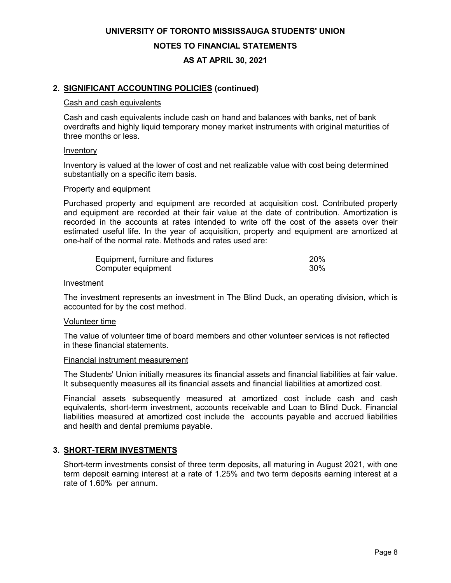**UNIVERSITY OF TORONTO MISSISSAUGA STUDENTS' UNION NOTES TO FINANCIAL STATEMENTS**

**AS AT APRIL 30, 2021**

#### **2. SIGNIFICANT ACCOUNTING POLICIES (continued)**

#### Cash and cash equivalents

Cash and cash equivalents include cash on hand and balances with banks, net of bank overdrafts and highly liquid temporary money market instruments with original maturities of three months or less.

#### Inventory

Inventory is valued at the lower of cost and net realizable value with cost being determined substantially on a specific item basis.

#### Property and equipment

Purchased property and equipment are recorded at acquisition cost. Contributed property and equipment are recorded at their fair value at the date of contribution. Amortization is recorded in the accounts at rates intended to write off the cost of the assets over their estimated useful life. In the year of acquisition, property and equipment are amortized at one-half of the normal rate. Methods and rates used are:

| Equipment, furniture and fixtures | 20 <sup>%</sup> |
|-----------------------------------|-----------------|
| Computer equipment                | 30%             |

#### Investment

The investment represents an investment in The Blind Duck, an operating division, which is accounted for by the cost method.

#### Volunteer time

The value of volunteer time of board members and other volunteer services is not reflected in these financial statements.

#### Financial instrument measurement

The Students' Union initially measures its financial assets and financial liabilities at fair value. It subsequently measures all its financial assets and financial liabilities at amortized cost.

Financial assets subsequently measured at amortized cost include cash and cash equivalents, short-term investment, accounts receivable and Loan to Blind Duck. Financial liabilities measured at amortized cost include the accounts payable and accrued liabilities and health and dental premiums payable.

#### **3. SHORT-TERM INVESTMENTS**

Short-term investments consist of three term deposits, all maturing in August 2021, with one term deposit earning interest at a rate of 1.25% and two term deposits earning interest at a rate of 1.60% per annum.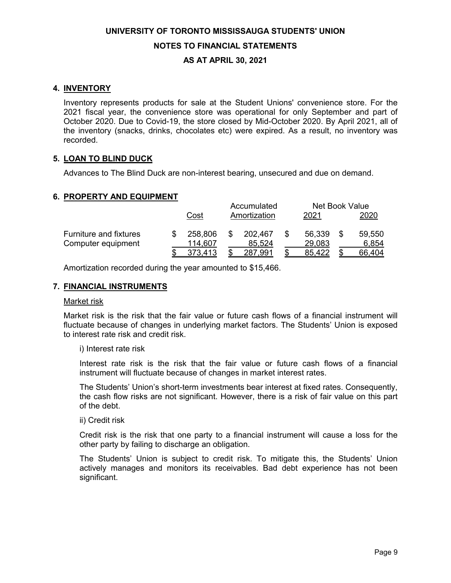**UNIVERSITY OF TORONTO MISSISSAUGA STUDENTS' UNION NOTES TO FINANCIAL STATEMENTS**

#### **AS AT APRIL 30, 2021**

#### **4. INVENTORY**

Inventory represents products for sale at the Student Unions' convenience store. For the 2021 fiscal year, the convenience store was operational for only September and part of October 2020. Due to Covid-19, the store closed by Mid-October 2020. By April 2021, all of the inventory (snacks, drinks, chocolates etc) were expired. As a result, no inventory was recorded.

#### **5. LOAN TO BLIND DUCK**

Advances to The Blind Duck are non-interest bearing, unsecured and due on demand.

#### **6. PROPERTY AND EQUIPMENT**

|                               |         |   | Accumulated  | Net Book Value |        |
|-------------------------------|---------|---|--------------|----------------|--------|
|                               | Cost    |   | Amortization | 2021           | 2020   |
| <b>Furniture and fixtures</b> | 258,806 | S | 202,467      | 56,339         | 59,550 |
| Computer equipment            | 114,607 |   | 85,524       | 29,083         | 6,854  |
|                               |         |   | 287,991      | 85.422         | 66,404 |

Amortization recorded during the year amounted to \$15,466.

#### **7. FINANCIAL INSTRUMENTS**

#### Market risk

Market risk is the risk that the fair value or future cash flows of a financial instrument will fluctuate because of changes in underlying market factors. The Students' Union is exposed to interest rate risk and credit risk.

i) Interest rate risk

Interest rate risk is the risk that the fair value or future cash flows of a financial instrument will fluctuate because of changes in market interest rates.

The Students' Union's short-term investments bear interest at fixed rates. Consequently, the cash flow risks are not significant. However, there is a risk of fair value on this part of the debt.

#### ii) Credit risk

Credit risk is the risk that one party to a financial instrument will cause a loss for the other party by failing to discharge an obligation.

The Students' Union is subject to credit risk. To mitigate this, the Students' Union actively manages and monitors its receivables. Bad debt experience has not been significant.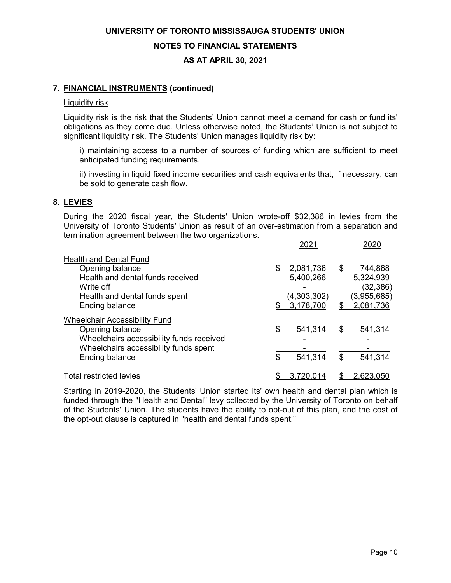**NOTES TO FINANCIAL STATEMENTS**

#### **AS AT APRIL 30, 2021**

#### **7. FINANCIAL INSTRUMENTS (continued)**

#### Liquidity risk

Liquidity risk is the risk that the Students' Union cannot meet a demand for cash or fund its' obligations as they come due. Unless otherwise noted, the Students' Union is not subject to significant liquidity risk. The Students' Union manages liquidity risk by:

i) maintaining access to a number of sources of funding which are sufficient to meet anticipated funding requirements.

ii) investing in liquid fixed income securities and cash equivalents that, if necessary, can be sold to generate cash flow.

#### **8. LEVIES**

During the 2020 fiscal year, the Students' Union wrote-off \$32,386 in levies from the University of Toronto Students' Union as result of an over-estimation from a separation and termination agreement between the two organizations.

|                                          |    | 2021               |                    |
|------------------------------------------|----|--------------------|--------------------|
| <b>Health and Dental Fund</b>            |    |                    |                    |
| Opening balance                          | S  | 2,081,736          | \$<br>744,868      |
| Health and dental funds received         |    | 5,400,266          | 5,324,939          |
| Write off                                |    |                    | (32, 386)          |
| Health and dental funds spent            |    | <u>(4,303,302)</u> | <u>(3,955,685)</u> |
| Ending balance                           |    | 3,178,700          | \$<br>2,081,736    |
| <b>Wheelchair Accessibility Fund</b>     |    |                    |                    |
| Opening balance                          | \$ | 541,314            | \$<br>541,314      |
| Wheelchairs accessibility funds received |    |                    |                    |
| Wheelchairs accessibility funds spent    |    |                    |                    |
| Ending balance                           |    | 541,314            | 541,314            |
| <b>Total restricted levies</b>           |    | 3.720.014          | 2,623,050          |

Starting in 2019-2020, the Students' Union started its' own health and dental plan which is funded through the "Health and Dental" levy collected by the University of Toronto on behalf of the Students' Union. The students have the ability to opt-out of this plan, and the cost of the opt-out clause is captured in "health and dental funds spent."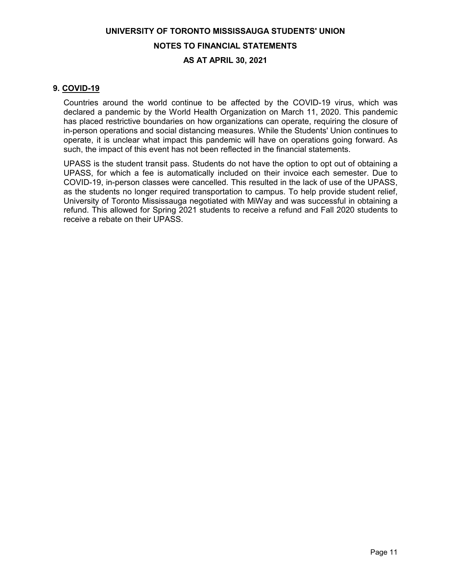# **UNIVERSITY OF TORONTO MISSISSAUGA STUDENTS' UNION NOTES TO FINANCIAL STATEMENTS**

#### **AS AT APRIL 30, 2021**

#### **9. COVID-19**

Countries around the world continue to be affected by the COVID-19 virus, which was declared a pandemic by the World Health Organization on March 11, 2020. This pandemic has placed restrictive boundaries on how organizations can operate, requiring the closure of in-person operations and social distancing measures. While the Students' Union continues to operate, it is unclear what impact this pandemic will have on operations going forward. As such, the impact of this event has not been reflected in the financial statements.

UPASS is the student transit pass. Students do not have the option to opt out of obtaining a UPASS, for which a fee is automatically included on their invoice each semester. Due to COVID-19, in-person classes were cancelled. This resulted in the lack of use of the UPASS, as the students no longer required transportation to campus. To help provide student relief, University of Toronto Mississauga negotiated with MiWay and was successful in obtaining a refund. This allowed for Spring 2021 students to receive a refund and Fall 2020 students to receive a rebate on their UPASS.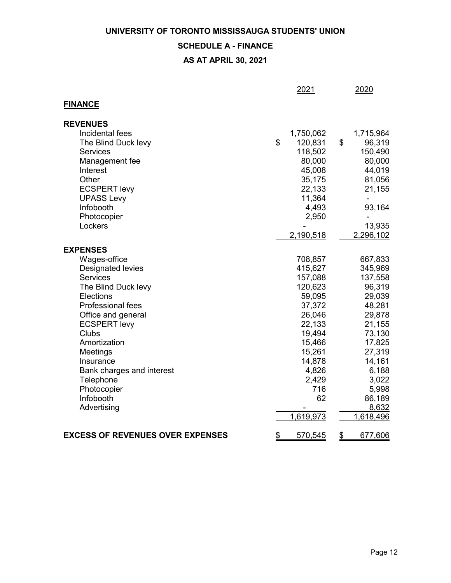#### **SCHEDULE A - FINANCE**

|                                         | 2021          |                           | 2020      |
|-----------------------------------------|---------------|---------------------------|-----------|
| <b>FINANCE</b>                          |               |                           |           |
| <b>REVENUES</b>                         |               |                           |           |
| Incidental fees                         | 1,750,062     |                           | 1,715,964 |
| The Blind Duck levy                     | \$<br>120,831 | \$                        | 96,319    |
| <b>Services</b>                         | 118,502       |                           | 150,490   |
| Management fee                          | 80,000        |                           | 80,000    |
| Interest                                | 45,008        |                           | 44,019    |
| Other                                   | 35,175        |                           | 81,056    |
| <b>ECSPERT levy</b>                     | 22,133        |                           | 21,155    |
| <b>UPASS Levy</b>                       | 11,364        |                           |           |
| Infobooth                               | 4,493         |                           | 93,164    |
| Photocopier                             | 2,950         |                           |           |
| Lockers                                 |               |                           | 13,935    |
|                                         | 2,190,518     |                           | 2,296,102 |
| <b>EXPENSES</b>                         |               |                           |           |
| Wages-office                            | 708,857       |                           | 667,833   |
| Designated levies                       | 415,627       |                           | 345,969   |
| <b>Services</b>                         | 157,088       |                           | 137,558   |
| The Blind Duck levy                     | 120,623       |                           | 96,319    |
| Elections                               | 59,095        |                           | 29,039    |
| Professional fees                       | 37,372        |                           | 48,281    |
| Office and general                      | 26,046        |                           | 29,878    |
| <b>ECSPERT levy</b>                     | 22,133        |                           | 21,155    |
| Clubs                                   | 19,494        |                           | 73,130    |
| Amortization                            | 15,466        |                           | 17,825    |
| Meetings                                | 15,261        |                           | 27,319    |
| Insurance                               | 14,878        |                           | 14,161    |
| Bank charges and interest               | 4,826         |                           | 6,188     |
| Telephone                               | 2,429         |                           | 3,022     |
| Photocopier                             | 716           |                           | 5,998     |
| Infobooth                               | 62            |                           | 86,189    |
| Advertising                             |               |                           | 8,632     |
|                                         | 1,619,973     |                           | 1,618,496 |
| <b>EXCESS OF REVENUES OVER EXPENSES</b> | \$<br>570,545 | $\overline{\mathfrak{P}}$ | 677,606   |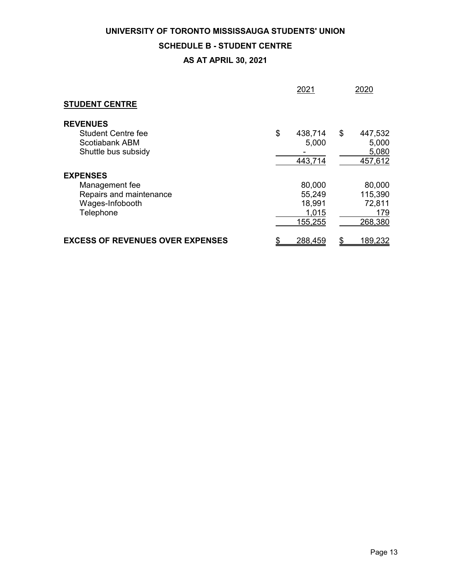#### **SCHEDULE B - STUDENT CENTRE**

|                                                                                              | 2021                                           | 2020                                          |
|----------------------------------------------------------------------------------------------|------------------------------------------------|-----------------------------------------------|
| <b>STUDENT CENTRE</b>                                                                        |                                                |                                               |
| <b>REVENUES</b><br><b>Student Centre fee</b><br>Scotiabank ABM<br>Shuttle bus subsidy        | \$<br>438,714<br>5,000<br>443,714              | \$<br>447,532<br>5,000<br>5,080<br>457,612    |
| <b>EXPENSES</b><br>Management fee<br>Repairs and maintenance<br>Wages-Infobooth<br>Telephone | 80,000<br>55,249<br>18,991<br>1,015<br>155,255 | 80,000<br>115,390<br>72,811<br>179<br>268,380 |
| <b>EXCESS OF REVENUES OVER EXPENSES</b>                                                      | \$<br>288,459                                  | 189,232<br>\$                                 |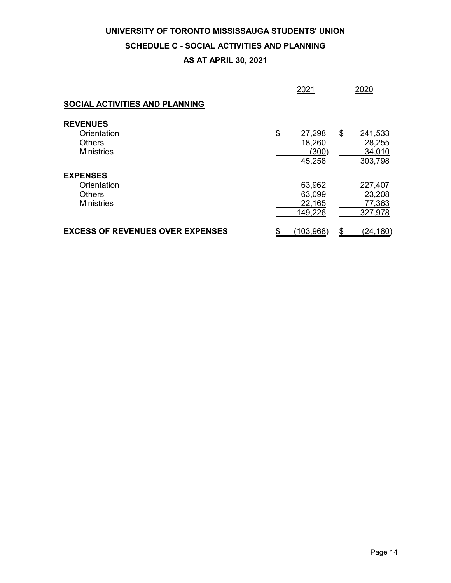# **SCHEDULE C - SOCIAL ACTIVITIES AND PLANNING**

|                                         | 2021            | 2020            |
|-----------------------------------------|-----------------|-----------------|
| SOCIAL ACTIVITIES AND PLANNING          |                 |                 |
| <b>REVENUES</b>                         |                 |                 |
| Orientation                             | \$<br>27,298    | \$<br>241,533   |
| <b>Others</b>                           | 18,260          | 28,255          |
| <b>Ministries</b>                       | (300)           | 34,010          |
|                                         | 45,258          | 303,798         |
| <b>EXPENSES</b>                         |                 |                 |
| Orientation                             | 63,962          | 227,407         |
| Others                                  | 63,099          | 23,208          |
| <b>Ministries</b>                       | 22,165          | 77,363          |
|                                         | 149,226         | 327,978         |
| <b>EXCESS OF REVENUES OVER EXPENSES</b> | \$<br>(103,968) | \$<br>(24, 180) |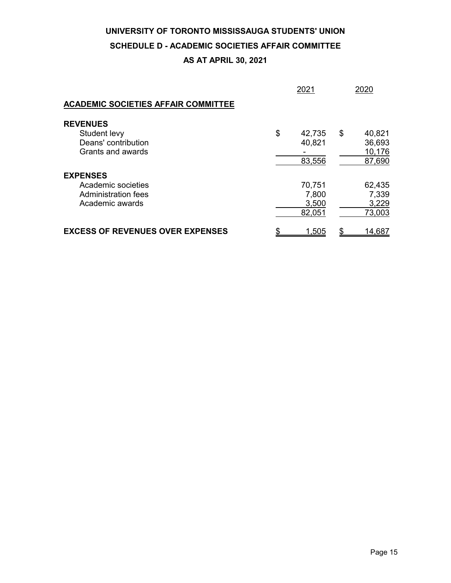#### **SCHEDULE D - ACADEMIC SOCIETIES AFFAIR COMMITTEE**

|                                            | 2021         | 2020             |
|--------------------------------------------|--------------|------------------|
| <b>ACADEMIC SOCIETIES AFFAIR COMMITTEE</b> |              |                  |
| <b>REVENUES</b><br>Student levy            | \$<br>42,735 | \$<br>40,821     |
| Deans' contribution<br>Grants and awards   | 40,821       | 36,693<br>10,176 |
|                                            | 83,556       | 87,690           |
| <b>EXPENSES</b>                            |              |                  |
| Academic societies                         | 70,751       | 62,435           |
| <b>Administration fees</b>                 | 7,800        | 7,339            |
| Academic awards                            | 3,500        | 3,229            |
|                                            | 82,051       | 73,003           |
| <b>EXCESS OF REVENUES OVER EXPENSES</b>    | \$<br>1,505  | \$<br>14,687     |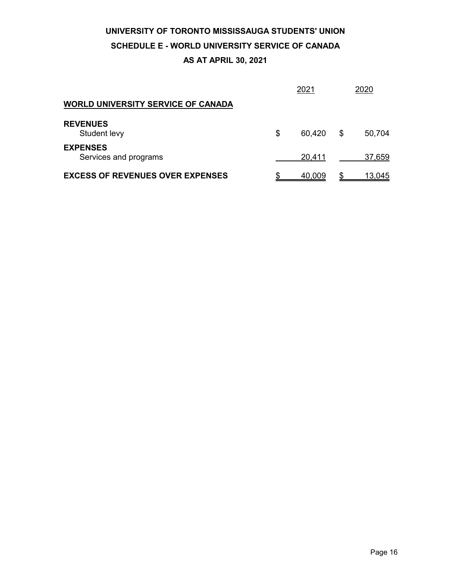# **UNIVERSITY OF TORONTO MISSISSAUGA STUDENTS' UNION SCHEDULE E - WORLD UNIVERSITY SERVICE OF CANADA**

|                                           | 2021         |   | 2020   |
|-------------------------------------------|--------------|---|--------|
| <b>WORLD UNIVERSITY SERVICE OF CANADA</b> |              |   |        |
| <b>REVENUES</b><br>Student levy           | \$<br>60,420 | S | 50,704 |
| <b>EXPENSES</b><br>Services and programs  | 20,411       |   | 37,659 |
| <b>EXCESS OF REVENUES OVER EXPENSES</b>   | 40.009       |   | 13,045 |